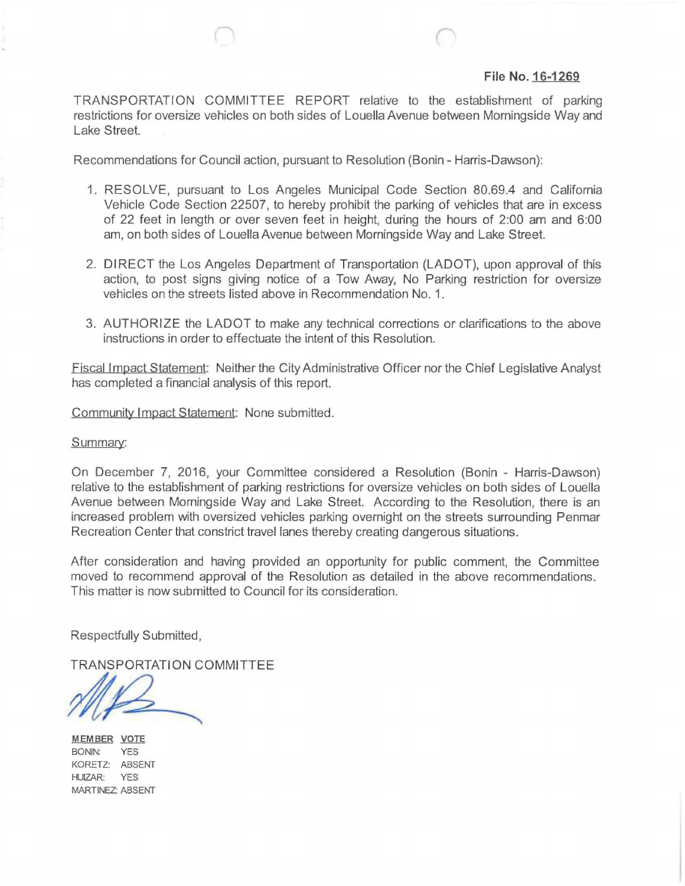## **File No. 16-1269**

TRANSPORTATION COMMITTEE REPORT relative to the establishment of parking restrictions for oversize vehicles on both sides of Louella Avenue between Morningside Way and Lake Street.

Recommendations for Council action, pursuant to Resolution (Bonin - Harris-Dawson):

- 1. RESOLVE, pursuant to Los Angeles Municipal Code Section 80.69.4 and California Vehicle Code Section 22507, to hereby prohibit the parking of vehicles that are in excess of 22 feet in length or over seven feet in height, during the hours of 2:00 am and 6:00 am, on both sides of Louella Avenue between Morningside Way and Lake Street.
- 2. DIRECT the Los Angeles Department of Transportation (LADOT), upon approval of this action, to post signs giving notice of a Tow Away, No Parking restriction for oversize vehicles on the streets listed above in Recommendation No. 1.
- 3. AUTHORIZE the LADOT to make any technical corrections or clarifications to the above instructions in order to effectuate the intent of this Resolution.

Fiscal Impact Statement: Neither the City Administrative Officer nor the Chief Legislative Analyst has completed a financial analysis of this report.

Community Impact Statement: None submitted.

Summary:

On December 7, 2016, your Committee considered a Resolution (Bonin - Harris-Dawson) relative to the establishment of parking restrictions for oversize vehicles on both sides of Louella Avenue between Morningside Way and Lake Street. According to the Resolution, there is an increased problem with oversized vehicles parking overnight on the streets surrounding Penmar Recreation Center that constrict travel lanes thereby creating dangerous situations.

After consideration and having provided an opportunity for public comment, the Committee moved to recommend approval of the Resolution as detailed in the above recommendations. This matter is now submitted to Council for its consideration.

Respectfully Submitted,

TRANSPORTATION COMMITTEE

MEMBER VOTE BONIN: YES KORETZ: ABSENT HUIZAR. YES MARTINEZ: ABSENT